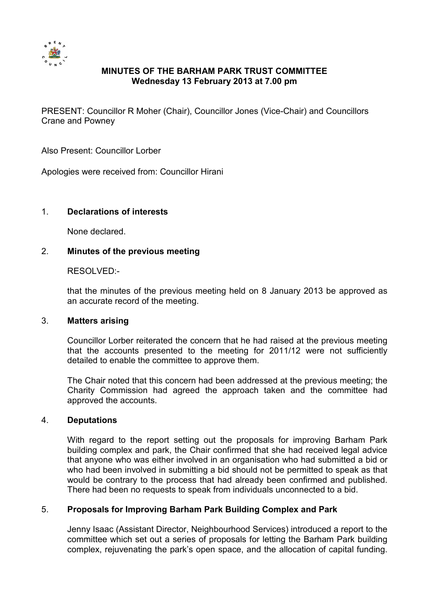

# **MINUTES OF THE BARHAM PARK TRUST COMMITTEE Wednesday 13 February 2013 at 7.00 pm**

PRESENT: Councillor R Moher (Chair), Councillor Jones (Vice-Chair) and Councillors Crane and Powney

Also Present: Councillor Lorber

Apologies were received from: Councillor Hirani

## 1. **Declarations of interests**

None declared.

## 2. **Minutes of the previous meeting**

RESOLVED:-

that the minutes of the previous meeting held on 8 January 2013 be approved as an accurate record of the meeting.

#### 3. **Matters arising**

Councillor Lorber reiterated the concern that he had raised at the previous meeting that the accounts presented to the meeting for 2011/12 were not sufficiently detailed to enable the committee to approve them.

The Chair noted that this concern had been addressed at the previous meeting; the Charity Commission had agreed the approach taken and the committee had approved the accounts.

#### 4. **Deputations**

With regard to the report setting out the proposals for improving Barham Park building complex and park, the Chair confirmed that she had received legal advice that anyone who was either involved in an organisation who had submitted a bid or who had been involved in submitting a bid should not be permitted to speak as that would be contrary to the process that had already been confirmed and published. There had been no requests to speak from individuals unconnected to a bid.

# 5. **Proposals for Improving Barham Park Building Complex and Park**

Jenny Isaac (Assistant Director, Neighbourhood Services) introduced a report to the committee which set out a series of proposals for letting the Barham Park building complex, rejuvenating the park's open space, and the allocation of capital funding.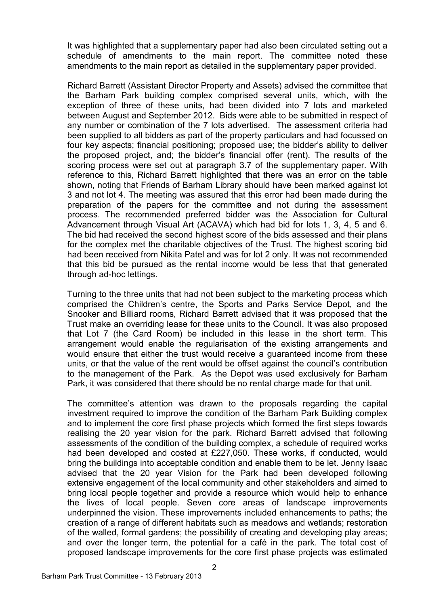It was highlighted that a supplementary paper had also been circulated setting out a schedule of amendments to the main report. The committee noted these amendments to the main report as detailed in the supplementary paper provided.

Richard Barrett (Assistant Director Property and Assets) advised the committee that the Barham Park building complex comprised several units, which, with the exception of three of these units, had been divided into 7 lots and marketed between August and September 2012. Bids were able to be submitted in respect of any number or combination of the 7 lots advertised. The assessment criteria had been supplied to all bidders as part of the property particulars and had focussed on four key aspects; financial positioning; proposed use; the bidder's ability to deliver the proposed project, and; the bidder's financial offer (rent). The results of the scoring process were set out at paragraph 3.7 of the supplementary paper. With reference to this, Richard Barrett highlighted that there was an error on the table shown, noting that Friends of Barham Library should have been marked against lot 3 and not lot 4. The meeting was assured that this error had been made during the preparation of the papers for the committee and not during the assessment process. The recommended preferred bidder was the Association for Cultural Advancement through Visual Art (ACAVA) which had bid for lots 1, 3, 4, 5 and 6. The bid had received the second highest score of the bids assessed and their plans for the complex met the charitable objectives of the Trust. The highest scoring bid had been received from Nikita Patel and was for lot 2 only. It was not recommended that this bid be pursued as the rental income would be less that that generated through ad-hoc lettings.

Turning to the three units that had not been subject to the marketing process which comprised the Children's centre, the Sports and Parks Service Depot, and the Snooker and Billiard rooms, Richard Barrett advised that it was proposed that the Trust make an overriding lease for these units to the Council. It was also proposed that Lot 7 (the Card Room) be included in this lease in the short term. This arrangement would enable the regularisation of the existing arrangements and would ensure that either the trust would receive a guaranteed income from these units, or that the value of the rent would be offset against the council's contribution to the management of the Park. As the Depot was used exclusively for Barham Park, it was considered that there should be no rental charge made for that unit.

The committee's attention was drawn to the proposals regarding the capital investment required to improve the condition of the Barham Park Building complex and to implement the core first phase projects which formed the first steps towards realising the 20 year vision for the park. Richard Barrett advised that following assessments of the condition of the building complex, a schedule of required works had been developed and costed at £227,050. These works, if conducted, would bring the buildings into acceptable condition and enable them to be let. Jenny Isaac advised that the 20 year Vision for the Park had been developed following extensive engagement of the local community and other stakeholders and aimed to bring local people together and provide a resource which would help to enhance the lives of local people. Seven core areas of landscape improvements underpinned the vision. These improvements included enhancements to paths; the creation of a range of different habitats such as meadows and wetlands; restoration of the walled, formal gardens; the possibility of creating and developing play areas; and over the longer term, the potential for a café in the park. The total cost of proposed landscape improvements for the core first phase projects was estimated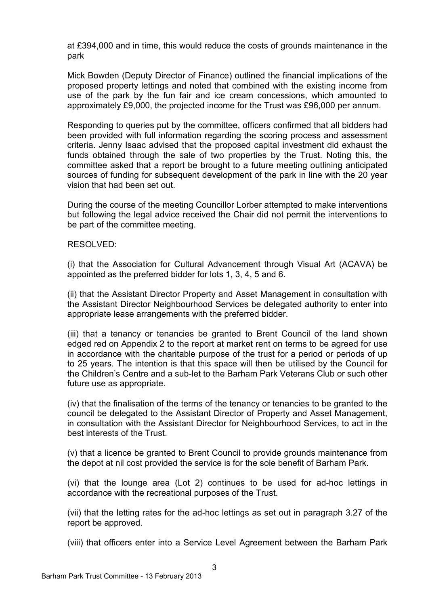at £394,000 and in time, this would reduce the costs of grounds maintenance in the park

Mick Bowden (Deputy Director of Finance) outlined the financial implications of the proposed property lettings and noted that combined with the existing income from use of the park by the fun fair and ice cream concessions, which amounted to approximately £9,000, the projected income for the Trust was £96,000 per annum.

Responding to queries put by the committee, officers confirmed that all bidders had been provided with full information regarding the scoring process and assessment criteria. Jenny Isaac advised that the proposed capital investment did exhaust the funds obtained through the sale of two properties by the Trust. Noting this, the committee asked that a report be brought to a future meeting outlining anticipated sources of funding for subsequent development of the park in line with the 20 year vision that had been set out.

During the course of the meeting Councillor Lorber attempted to make interventions but following the legal advice received the Chair did not permit the interventions to be part of the committee meeting.

## RESOLVED:

(i) that the Association for Cultural Advancement through Visual Art (ACAVA) be appointed as the preferred bidder for lots 1, 3, 4, 5 and 6.

(ii) that the Assistant Director Property and Asset Management in consultation with the Assistant Director Neighbourhood Services be delegated authority to enter into appropriate lease arrangements with the preferred bidder.

(iii) that a tenancy or tenancies be granted to Brent Council of the land shown edged red on Appendix 2 to the report at market rent on terms to be agreed for use in accordance with the charitable purpose of the trust for a period or periods of up to 25 years. The intention is that this space will then be utilised by the Council for the Children's Centre and a sub-let to the Barham Park Veterans Club or such other future use as appropriate.

(iv) that the finalisation of the terms of the tenancy or tenancies to be granted to the council be delegated to the Assistant Director of Property and Asset Management, in consultation with the Assistant Director for Neighbourhood Services, to act in the best interests of the Trust.

(v) that a licence be granted to Brent Council to provide grounds maintenance from the depot at nil cost provided the service is for the sole benefit of Barham Park.

(vi) that the lounge area (Lot 2) continues to be used for ad-hoc lettings in accordance with the recreational purposes of the Trust.

(vii) that the letting rates for the ad-hoc lettings as set out in paragraph 3.27 of the report be approved.

(viii) that officers enter into a Service Level Agreement between the Barham Park